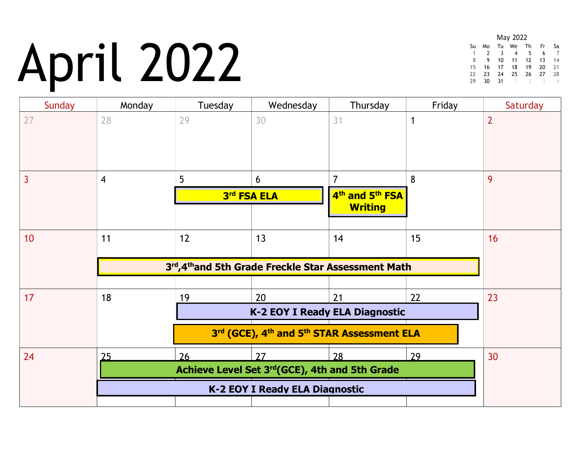## April 2022

|                |    |     | May 2022 |    |               |          |
|----------------|----|-----|----------|----|---------------|----------|
| Su             | Mo |     | Tu We Th |    | Fr Sa         |          |
| $\overline{1}$ | 2  | 3   | 4 5      |    |               | 6 7      |
| 8              | 9  | 10  | 11       |    | 12 13         | - 14     |
| 15             | 16 | 17  | 18       | 19 | -20           | - 21     |
| 22             | 23 | 24  | 25       |    | 26 27         | -28      |
| 29             | 30 | -31 |          |    | $\mathcal{L}$ | $\Delta$ |

| Sunday | Monday         | Tuesday                        | Wednesday                                            | Thursday                                                       | Friday | Saturday       |
|--------|----------------|--------------------------------|------------------------------------------------------|----------------------------------------------------------------|--------|----------------|
| 27     | 28             | 29                             | 30                                                   | 31                                                             |        | $\overline{2}$ |
|        | $\overline{4}$ | 5                              | 6<br>3rd FSA ELA                                     | 7<br>4 <sup>th</sup> and 5 <sup>th</sup> FSA<br><b>Writing</b> | 8      | 9              |
| 10     | 11             | 12                             | 13                                                   | 14                                                             | 15     | 16             |
|        |                |                                | 3rd, 4th and 5th Grade Freckle Star Assessment Math  |                                                                |        |                |
| 17     | 18             | 19                             | 20                                                   | 21                                                             | 22     | 23             |
|        |                | K-2 EOY I Ready ELA Diagnostic |                                                      |                                                                |        |                |
|        |                |                                | 3rd (GCE), 4th and 5th STAR Assessment ELA           |                                                                |        |                |
| 24     | 25             | 26                             | 27<br>Achieve Level Set 3rd (GCE), 4th and 5th Grade | 28                                                             | 29     | 30             |
|        |                |                                |                                                      |                                                                |        |                |
|        |                |                                |                                                      |                                                                |        |                |
|        |                |                                |                                                      |                                                                |        |                |